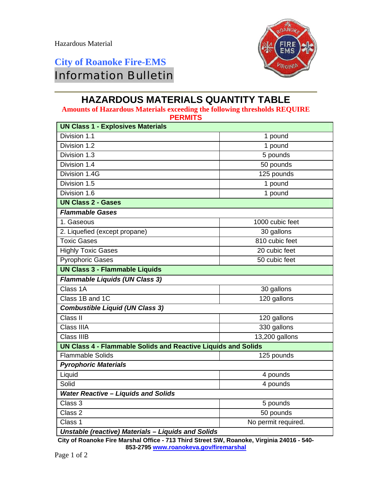## **City of Roanoke Fire-EMS**  Information Bulletin



## **HAZARDOUS MATERIALS QUANTITY TABLE**

**Amounts of Hazardous Materials exceeding the following thresholds REQUIRE PEPMITS** 

| FLNMID                                   |          |  |
|------------------------------------------|----------|--|
| <b>UN Class 1 - Explosives Materials</b> |          |  |
| Division 1.1                             | 1 pound  |  |
| Division 1.2                             | 1 pound  |  |
| Division 1.3                             | 5 pounds |  |

| Division 1.2                                                         | 1 pound             |  |
|----------------------------------------------------------------------|---------------------|--|
| Division 1.3                                                         | 5 pounds            |  |
| Division 1.4                                                         | 50 pounds           |  |
| Division 1.4G                                                        | 125 pounds          |  |
| Division 1.5                                                         | 1 pound             |  |
| Division 1.6                                                         | 1 pound             |  |
| <b>UN Class 2 - Gases</b>                                            |                     |  |
| <b>Flammable Gases</b>                                               |                     |  |
| 1. Gaseous                                                           | 1000 cubic feet     |  |
| 2. Liquefied (except propane)                                        | 30 gallons          |  |
| <b>Toxic Gases</b>                                                   | 810 cubic feet      |  |
| <b>Highly Toxic Gases</b>                                            | 20 cubic feet       |  |
| <b>Pyrophoric Gases</b>                                              | 50 cubic feet       |  |
| <b>UN Class 3 - Flammable Liquids</b>                                |                     |  |
| <b>Flammable Liquids (UN Class 3)</b>                                |                     |  |
| Class 1A                                                             | 30 gallons          |  |
| Class 1B and 1C                                                      | 120 gallons         |  |
| <b>Combustible Liquid (UN Class 3)</b>                               |                     |  |
| Class II                                                             | 120 gallons         |  |
| Class IIIA                                                           | 330 gallons         |  |
| <b>Class IIIB</b>                                                    | 13,200 gallons      |  |
| <b>UN Class 4 - Flammable Solids and Reactive Liquids and Solids</b> |                     |  |
| <b>Flammable Solids</b>                                              | 125 pounds          |  |
| <b>Pyrophoric Materials</b>                                          |                     |  |
| Liquid                                                               | 4 pounds            |  |
| Solid                                                                | 4 pounds            |  |
| <b>Water Reactive - Liquids and Solids</b>                           |                     |  |
| Class 3                                                              | 5 pounds            |  |
| Class 2                                                              | 50 pounds           |  |
| Class 1                                                              | No permit required. |  |
| Unetable (reactive) Materials Liquide and Solide                     |                     |  |

*Unstable (reactive) Materials – Liquids and Solids* 

**City of Roanoke Fire Marshal Office - 713 Third Street SW, Roanoke, Virginia 24016 - 540- 853-2795 www.roanokeva.gov/firemarshal**